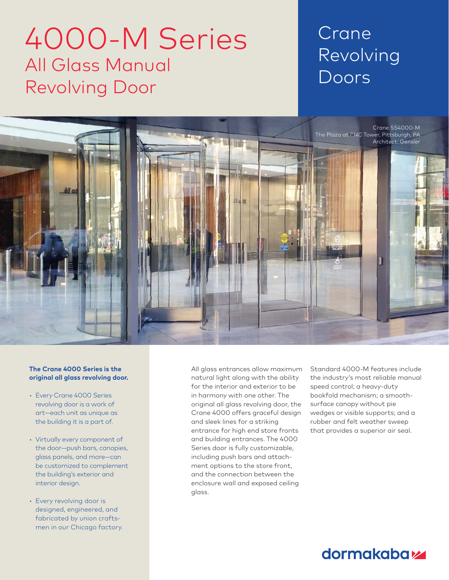# 4000-M Series All Glass Manual Revolving Door

## Crane Revolving Doors

Chapter Title Section Title



#### **The Crane 4000 Series is the original all glass revolving door.**

- Every Crane 4000 Series revolving door is a work of art—each unit as unique as the building it is a part of.
- Virtually every component of the door—push bars, canopies, glass panels, and more—can be customized to complement the building's exterior and interior design.
- Every revolving door is designed, engineered, and fabricated by union craftsmen in our Chicago factory.

All glass entrances allow maximum natural light along with the ability for the interior and exterior to be in harmony with one other. The original all glass revolving door, the Crane 4000 offers graceful design and sleek lines for a striking entrance for high end store fronts and building entrances. The 4000 Series door is fully customizable, including push bars and attachment options to the store front, and the connection between the enclosure wall and exposed ceiling glass.

Standard 4000-M features include the industry's most reliable manual speed control; a heavy-duty bookfold mechanism; a smoothsurface canopy without pie wedges or visible supports; and a rubber and felt weather sweep that provides a superior air seal.

### dormakaba<sub>k</sub>